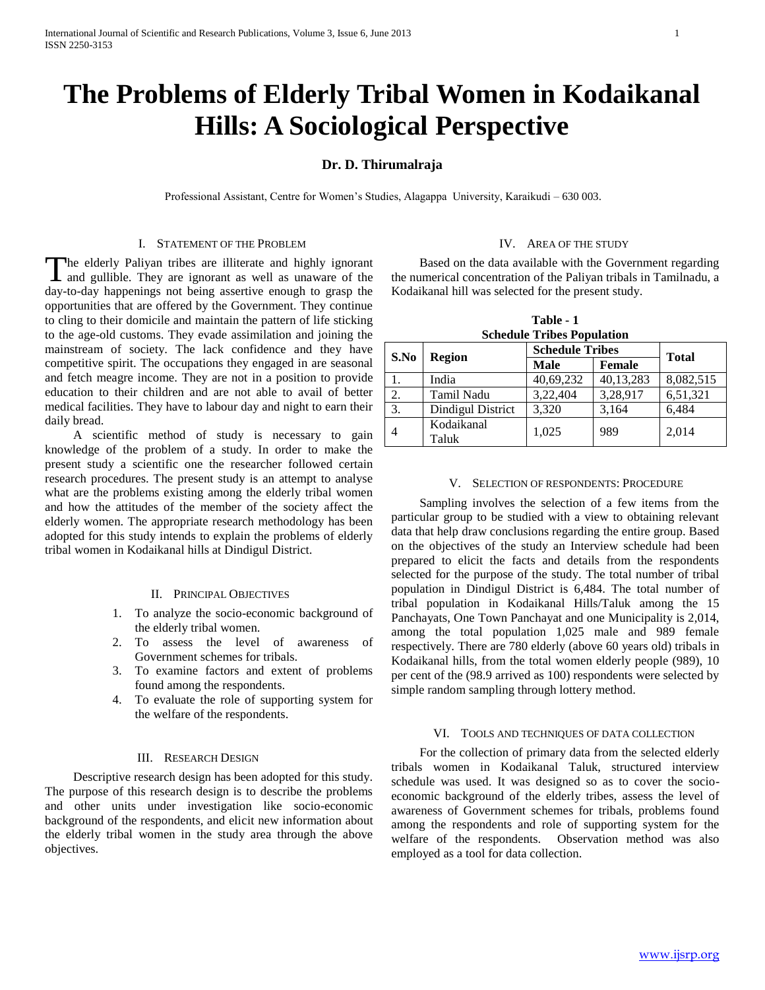# **The Problems of Elderly Tribal Women in Kodaikanal Hills: A Sociological Perspective**

## **Dr. D. Thirumalraja**

Professional Assistant, Centre for Women's Studies, Alagappa University, Karaikudi – 630 003.

#### I. STATEMENT OF THE PROBLEM

he elderly Paliyan tribes are illiterate and highly ignorant The elderly Paliyan tribes are illiterate and highly ignorant and gullible. They are ignorant as well as unaware of the day-to-day happenings not being assertive enough to grasp the opportunities that are offered by the Government. They continue to cling to their domicile and maintain the pattern of life sticking to the age-old customs. They evade assimilation and joining the mainstream of society. The lack confidence and they have competitive spirit. The occupations they engaged in are seasonal and fetch meagre income. They are not in a position to provide education to their children and are not able to avail of better medical facilities. They have to labour day and night to earn their daily bread.

 A scientific method of study is necessary to gain knowledge of the problem of a study. In order to make the present study a scientific one the researcher followed certain research procedures. The present study is an attempt to analyse what are the problems existing among the elderly tribal women and how the attitudes of the member of the society affect the elderly women. The appropriate research methodology has been adopted for this study intends to explain the problems of elderly tribal women in Kodaikanal hills at Dindigul District.

#### II. PRINCIPAL OBJECTIVES

- 1. To analyze the socio-economic background of the elderly tribal women.
- 2. To assess the level of awareness of Government schemes for tribals.
- 3. To examine factors and extent of problems found among the respondents.
- 4. To evaluate the role of supporting system for the welfare of the respondents.

#### III. RESEARCH DESIGN

 Descriptive research design has been adopted for this study. The purpose of this research design is to describe the problems and other units under investigation like socio-economic background of the respondents, and elicit new information about the elderly tribal women in the study area through the above objectives.

#### IV. AREA OF THE STUDY

 Based on the data available with the Government regarding the numerical concentration of the Paliyan tribals in Tamilnadu, a Kodaikanal hill was selected for the present study.

| Table - 1 |                                   |
|-----------|-----------------------------------|
|           | <b>Schedule Tribes Population</b> |

| beneuine Tribes I opulation |                     |                        |           |              |  |  |
|-----------------------------|---------------------|------------------------|-----------|--------------|--|--|
| S.No                        | <b>Region</b>       | <b>Schedule Tribes</b> |           |              |  |  |
|                             |                     | <b>Male</b>            | Female    | <b>Total</b> |  |  |
| 1.                          | India               | 40,69,232              | 40,13,283 | 8,082,515    |  |  |
| 2.                          | Tamil Nadu          | 3,22,404               | 3,28,917  | 6,51,321     |  |  |
| 3.                          | Dindigul District   | 3,320                  | 3,164     | 6,484        |  |  |
| 4                           | Kodaikanal<br>Taluk | 1,025                  | 989       | 2,014        |  |  |

#### V. SELECTION OF RESPONDENTS: PROCEDURE

 Sampling involves the selection of a few items from the particular group to be studied with a view to obtaining relevant data that help draw conclusions regarding the entire group. Based on the objectives of the study an Interview schedule had been prepared to elicit the facts and details from the respondents selected for the purpose of the study. The total number of tribal population in Dindigul District is 6,484. The total number of tribal population in Kodaikanal Hills/Taluk among the 15 Panchayats, One Town Panchayat and one Municipality is 2,014, among the total population 1,025 male and 989 female respectively. There are 780 elderly (above 60 years old) tribals in Kodaikanal hills, from the total women elderly people (989), 10 per cent of the (98.9 arrived as 100) respondents were selected by simple random sampling through lottery method.

## VI. TOOLS AND TECHNIQUES OF DATA COLLECTION

 For the collection of primary data from the selected elderly tribals women in Kodaikanal Taluk, structured interview schedule was used. It was designed so as to cover the socioeconomic background of the elderly tribes, assess the level of awareness of Government schemes for tribals, problems found among the respondents and role of supporting system for the welfare of the respondents. Observation method was also employed as a tool for data collection.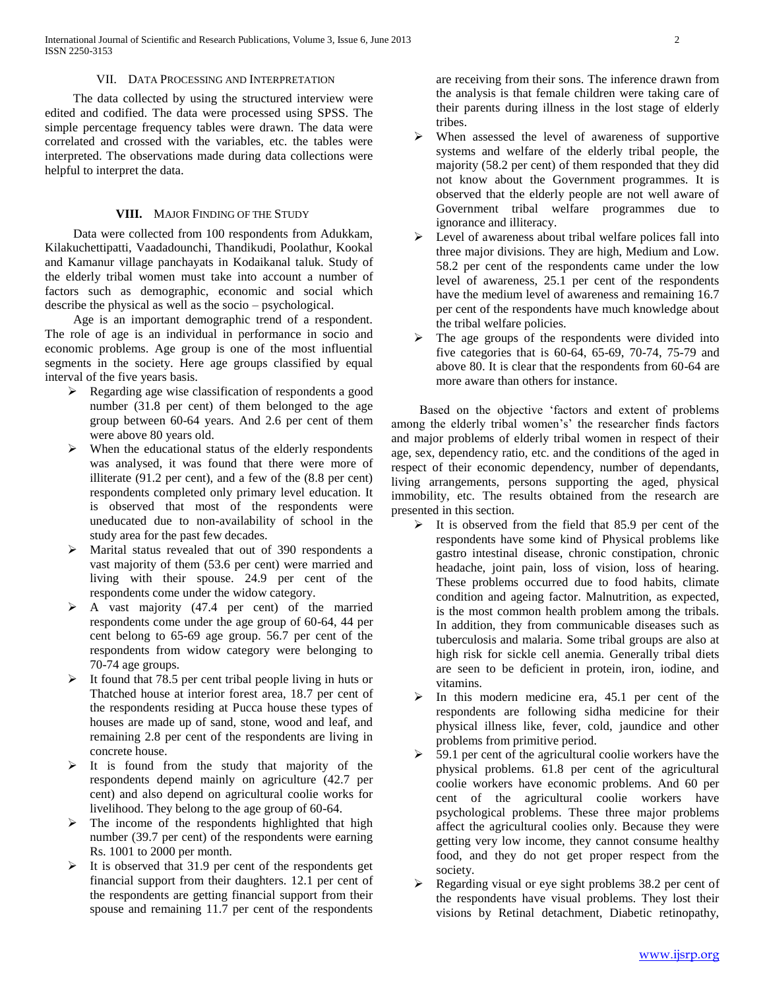## VII. DATA PROCESSING AND INTERPRETATION

 The data collected by using the structured interview were edited and codified. The data were processed using SPSS. The simple percentage frequency tables were drawn. The data were correlated and crossed with the variables, etc. the tables were interpreted. The observations made during data collections were helpful to interpret the data.

#### **VIII.** MAJOR FINDING OF THE STUDY

 Data were collected from 100 respondents from Adukkam, Kilakuchettipatti, Vaadadounchi, Thandikudi, Poolathur, Kookal and Kamanur village panchayats in Kodaikanal taluk. Study of the elderly tribal women must take into account a number of factors such as demographic, economic and social which describe the physical as well as the socio – psychological.

 Age is an important demographic trend of a respondent. The role of age is an individual in performance in socio and economic problems. Age group is one of the most influential segments in the society. Here age groups classified by equal interval of the five years basis.

- Regarding age wise classification of respondents a good number (31.8 per cent) of them belonged to the age group between 60-64 years. And 2.6 per cent of them were above 80 years old.
- $\triangleright$  When the educational status of the elderly respondents was analysed, it was found that there were more of illiterate (91.2 per cent), and a few of the (8.8 per cent) respondents completed only primary level education. It is observed that most of the respondents were uneducated due to non-availability of school in the study area for the past few decades.
- Marital status revealed that out of 390 respondents a vast majority of them (53.6 per cent) were married and living with their spouse. 24.9 per cent of the respondents come under the widow category.
- $\triangleright$  A vast majority (47.4 per cent) of the married respondents come under the age group of 60-64, 44 per cent belong to 65-69 age group. 56.7 per cent of the respondents from widow category were belonging to 70-74 age groups.
- $\triangleright$  It found that 78.5 per cent tribal people living in huts or Thatched house at interior forest area, 18.7 per cent of the respondents residing at Pucca house these types of houses are made up of sand, stone, wood and leaf, and remaining 2.8 per cent of the respondents are living in concrete house.
- $\triangleright$  It is found from the study that majority of the respondents depend mainly on agriculture (42.7 per cent) and also depend on agricultural coolie works for livelihood. They belong to the age group of 60-64.
- $\triangleright$  The income of the respondents highlighted that high number (39.7 per cent) of the respondents were earning Rs. 1001 to 2000 per month.
- $\triangleright$  It is observed that 31.9 per cent of the respondents get financial support from their daughters. 12.1 per cent of the respondents are getting financial support from their spouse and remaining 11.7 per cent of the respondents

are receiving from their sons. The inference drawn from the analysis is that female children were taking care of their parents during illness in the lost stage of elderly tribes.

- When assessed the level of awareness of supportive systems and welfare of the elderly tribal people, the majority (58.2 per cent) of them responded that they did not know about the Government programmes. It is observed that the elderly people are not well aware of Government tribal welfare programmes due to ignorance and illiteracy.
- $\triangleright$  Level of awareness about tribal welfare polices fall into three major divisions. They are high, Medium and Low. 58.2 per cent of the respondents came under the low level of awareness, 25.1 per cent of the respondents have the medium level of awareness and remaining 16.7 per cent of the respondents have much knowledge about the tribal welfare policies.
- $\triangleright$  The age groups of the respondents were divided into five categories that is 60-64, 65-69, 70-74, 75-79 and above 80. It is clear that the respondents from 60-64 are more aware than others for instance.

 Based on the objective 'factors and extent of problems among the elderly tribal women's' the researcher finds factors and major problems of elderly tribal women in respect of their age, sex, dependency ratio, etc. and the conditions of the aged in respect of their economic dependency, number of dependants, living arrangements, persons supporting the aged, physical immobility, etc. The results obtained from the research are presented in this section.

- $\triangleright$  It is observed from the field that 85.9 per cent of the respondents have some kind of Physical problems like gastro intestinal disease, chronic constipation, chronic headache, joint pain, loss of vision, loss of hearing. These problems occurred due to food habits, climate condition and ageing factor. Malnutrition, as expected, is the most common health problem among the tribals. In addition, they from communicable diseases such as tuberculosis and malaria. Some tribal groups are also at high risk for sickle cell anemia. Generally tribal diets are seen to be deficient in protein, iron, iodine, and vitamins.
- $\triangleright$  In this modern medicine era, 45.1 per cent of the respondents are following sidha medicine for their physical illness like, fever, cold, jaundice and other problems from primitive period.
- $\geq$  59.1 per cent of the agricultural coolie workers have the physical problems. 61.8 per cent of the agricultural coolie workers have economic problems. And 60 per cent of the agricultural coolie workers have psychological problems. These three major problems affect the agricultural coolies only. Because they were getting very low income, they cannot consume healthy food, and they do not get proper respect from the society.
- $\triangleright$  Regarding visual or eye sight problems 38.2 per cent of the respondents have visual problems. They lost their visions by Retinal detachment, Diabetic retinopathy,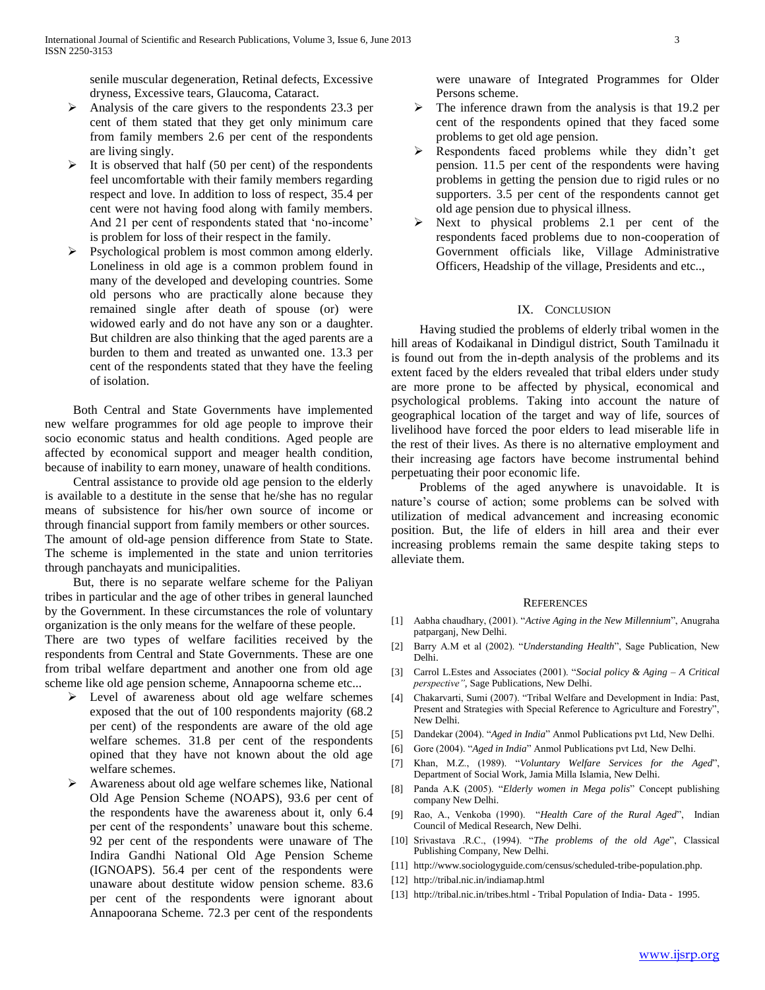senile muscular degeneration, Retinal defects, Excessive dryness, Excessive tears, Glaucoma, Cataract.

- $\triangleright$  Analysis of the care givers to the respondents 23.3 per cent of them stated that they get only minimum care from family members 2.6 per cent of the respondents are living singly.
- $\triangleright$  It is observed that half (50 per cent) of the respondents feel uncomfortable with their family members regarding respect and love. In addition to loss of respect, 35.4 per cent were not having food along with family members. And 21 per cent of respondents stated that 'no-income' is problem for loss of their respect in the family.
- $\triangleright$  Psychological problem is most common among elderly. Loneliness in old age is a common problem found in many of the developed and developing countries. Some old persons who are practically alone because they remained single after death of spouse (or) were widowed early and do not have any son or a daughter. But children are also thinking that the aged parents are a burden to them and treated as unwanted one. 13.3 per cent of the respondents stated that they have the feeling of isolation.

 Both Central and State Governments have implemented new welfare programmes for old age people to improve their socio economic status and health conditions. Aged people are affected by economical support and meager health condition, because of inability to earn money, unaware of health conditions.

 Central assistance to provide old age pension to the elderly is available to a destitute in the sense that he/she has no regular means of subsistence for his/her own source of income or through financial support from family members or other sources. The amount of old-age pension difference from State to State. The scheme is implemented in the state and union territories through panchayats and municipalities.

 But, there is no separate welfare scheme for the Paliyan tribes in particular and the age of other tribes in general launched by the Government. In these circumstances the role of voluntary organization is the only means for the welfare of these people.

There are two types of welfare facilities received by the respondents from Central and State Governments. These are one from tribal welfare department and another one from old age scheme like old age pension scheme, Annapoorna scheme etc...

- Evel of awareness about old age welfare schemes exposed that the out of 100 respondents majority (68.2 per cent) of the respondents are aware of the old age welfare schemes. 31.8 per cent of the respondents opined that they have not known about the old age welfare schemes.
- Awareness about old age welfare schemes like, National Old Age Pension Scheme (NOAPS), 93.6 per cent of the respondents have the awareness about it, only 6.4 per cent of the respondents' unaware bout this scheme. 92 per cent of the respondents were unaware of The Indira Gandhi National Old Age Pension Scheme (IGNOAPS). 56.4 per cent of the respondents were unaware about destitute widow pension scheme. 83.6 per cent of the respondents were ignorant about Annapoorana Scheme. 72.3 per cent of the respondents

were unaware of Integrated Programmes for Older Persons scheme.

- $\triangleright$  The inference drawn from the analysis is that 19.2 per cent of the respondents opined that they faced some problems to get old age pension.
- Respondents faced problems while they didn't get pension. 11.5 per cent of the respondents were having problems in getting the pension due to rigid rules or no supporters. 3.5 per cent of the respondents cannot get old age pension due to physical illness.
- $\triangleright$  Next to physical problems 2.1 per cent of the respondents faced problems due to non-cooperation of Government officials like, Village Administrative Officers, Headship of the village, Presidents and etc..,

#### IX. CONCLUSION

 Having studied the problems of elderly tribal women in the hill areas of Kodaikanal in Dindigul district, South Tamilnadu it is found out from the in-depth analysis of the problems and its extent faced by the elders revealed that tribal elders under study are more prone to be affected by physical, economical and psychological problems. Taking into account the nature of geographical location of the target and way of life, sources of livelihood have forced the poor elders to lead miserable life in the rest of their lives. As there is no alternative employment and their increasing age factors have become instrumental behind perpetuating their poor economic life.

 Problems of the aged anywhere is unavoidable. It is nature's course of action; some problems can be solved with utilization of medical advancement and increasing economic position. But, the life of elders in hill area and their ever increasing problems remain the same despite taking steps to alleviate them.

#### **REFERENCES**

- [1] Aabha chaudhary, (2001). "*Active Aging in the New Millennium*", Anugraha patparganj, New Delhi.
- [2] Barry A.M et al (2002). "*Understanding Health*", Sage Publication, New Delhi.
- [3] Carrol L.Estes and Associates (2001). "*Social policy & Aging – A Critical perspective"*, Sage Publications, New Delhi.
- [4] Chakarvarti, Sumi (2007). "Tribal Welfare and Development in India: Past, Present and Strategies with Special Reference to Agriculture and Forestry", New Delhi.
- [5] Dandekar (2004). "*Aged in India*" Anmol Publications pvt Ltd, New Delhi.
- [6] Gore (2004). "*Aged in India*" Anmol Publications pvt Ltd, New Delhi.
- [7] Khan, M.Z., (1989). "*Voluntary Welfare Services for the Aged*", Department of Social Work, Jamia Milla Islamia, New Delhi.
- [8] Panda A.K (2005). "*Elderly women in Mega polis*" Concept publishing company New Delhi.
- [9] Rao, A., Venkoba (1990). "*Health Care of the Rural Aged*", Indian Council of Medical Research, New Delhi.
- [10] Srivastava .R.C., (1994). "*The problems of the old Age*", Classical Publishing Company, New Delhi.
- [11] [http://www.sociologyguide.com/census/scheduled-tribe-population.php.](http://www.sociologyguide.com/census/scheduled-tribe-population.php)
- [12] <http://tribal.nic.in/indiamap.html>
- [13] <http://tribal.nic.in/tribes.html> Tribal Population of India- Data 1995.